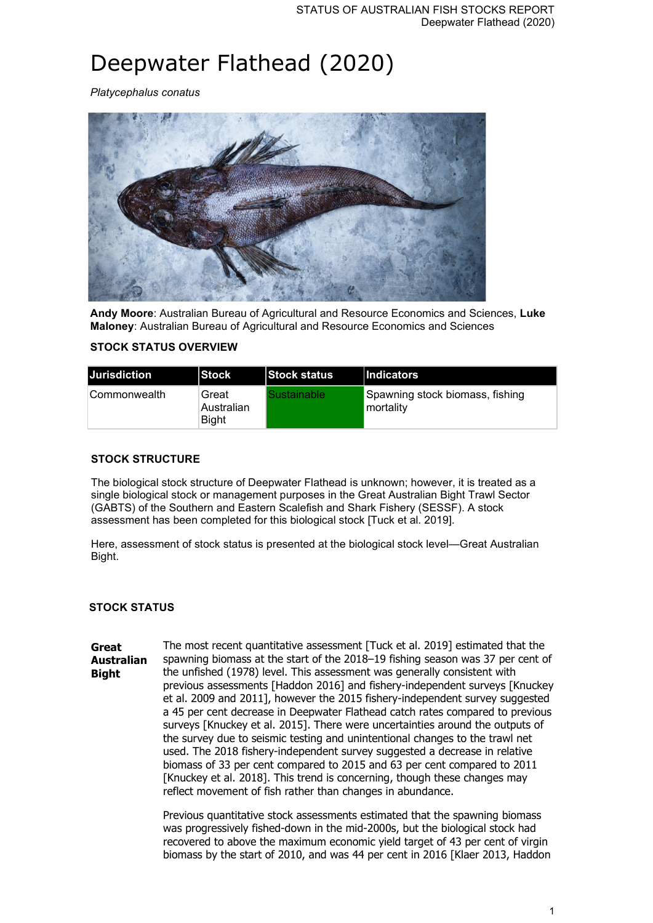# Deepwater Flathead (2020)

*Platycephalus conatus*



**Andy Moore**: Australian Bureau of Agricultural and Resource Economics and Sciences, **Luke Maloney**: Australian Bureau of Agricultural and Resource Economics and Sciences

## **STOCK STATUS OVERVIEW**

| Jurisdiction   | <b>Stock</b>                        | <b>Stock status</b> | Indicators                                   |
|----------------|-------------------------------------|---------------------|----------------------------------------------|
| ∣Commonwealth_ | Great<br>Australian<br><b>Bight</b> | Sustainable         | Spawning stock biomass, fishing<br>mortality |

### **STOCK STRUCTURE**

The biological stock structure of Deepwater Flathead is unknown; however, it is treated as a single biological stock or management purposes in the Great Australian Bight Trawl Sector (GABTS) of the Southern and Eastern Scalefish and Shark Fishery (SESSF). A stock assessment has been completed for this biological stock [Tuck et al. 2019].

Here, assessment of stock status is presented at the biological stock level—Great Australian Bight.

#### **STOCK STATUS**

**Great Australian Bight** The most recent quantitative assessment [Tuck et al. 2019] estimated that the spawning biomass at the start of the 2018–19 fishing season was 37 per cent of the unfished (1978) level. This assessment was generally consistent with previous assessments [Haddon 2016] and fishery-independent surveys [Knuckey et al. 2009 and 2011], however the 2015 fishery-independent survey suggested a 45 per cent decrease in Deepwater Flathead catch rates compared to previous surveys [Knuckey et al. 2015]. There were uncertainties around the outputs of the survey due to seismic testing and unintentional changes to the trawl net used. The 2018 fishery-independent survey suggested a decrease in relative biomass of 33 per cent compared to 2015 and 63 per cent compared to 2011 [Knuckey et al. 2018]. This trend is concerning, though these changes may reflect movement of fish rather than changes in abundance.

> Previous quantitative stock assessments estimated that the spawning biomass was progressively fished-down in the mid-2000s, but the biological stock had recovered to above the maximum economic yield target of 43 per cent of virgin biomass by the start of 2010, and was 44 per cent in 2016 [Klaer 2013, Haddon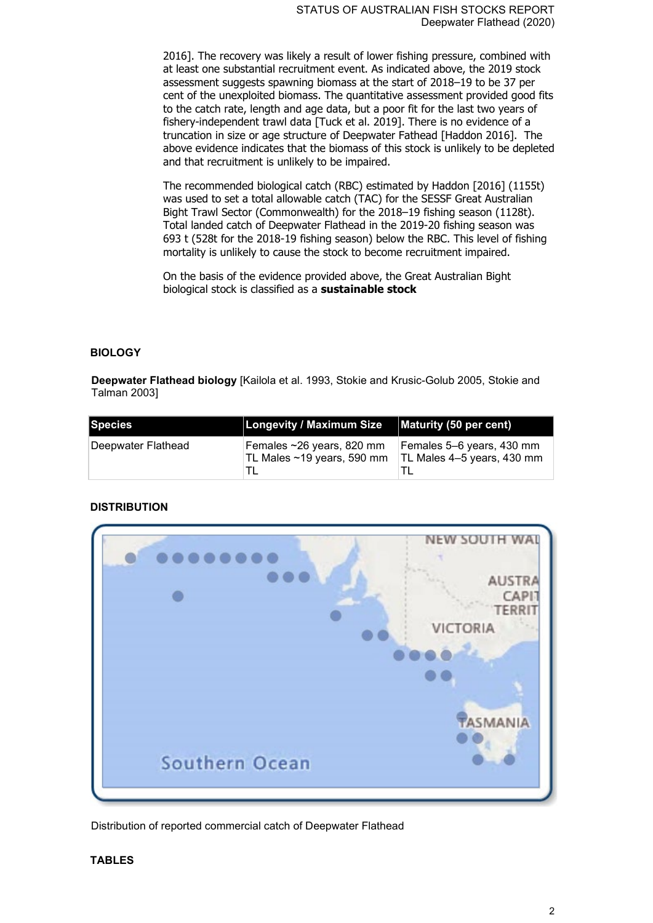2016]. The recovery was likely a result of lower fishing pressure, combined with at least one substantial recruitment event. As indicated above, the 2019 stock assessment suggests spawning biomass at the start of 2018–19 to be 37 per cent of the unexploited biomass. The quantitative assessment provided good fits to the catch rate, length and age data, but a poor fit for the last two years of fishery-independent trawl data [Tuck et al. 2019]. There is no evidence of a truncation in size or age structure of Deepwater Fathead [Haddon 2016]. The above evidence indicates that the biomass of this stock is unlikely to be depleted and that recruitment is unlikely to be impaired.

The recommended biological catch (RBC) estimated by Haddon [2016] (1155t) was used to set a total allowable catch (TAC) for the SESSF Great Australian Bight Trawl Sector (Commonwealth) for the 2018–19 fishing season (1128t). Total landed catch of Deepwater Flathead in the 2019-20 fishing season was 693 t (528t for the 2018-19 fishing season) below the RBC. This level of fishing mortality is unlikely to cause the stock to become recruitment impaired.

On the basis of the evidence provided above, the Great Australian Bight biological stock is classified as a **sustainable stock**

#### **BIOLOGY**

**Deepwater Flathead biology** [Kailola et al. 1993, Stokie and Krusic-Golub 2005, Stokie and Talman 2003]

| Species            | <b>Longevity / Maximum Size</b>                          | Maturity (50 per cent)                                  |
|--------------------|----------------------------------------------------------|---------------------------------------------------------|
| Deepwater Flathead | Females ~26 years, 820 mm<br>∣TL Males ~19 years, 590 mm | Females 5–6 years, 430 mm<br>TL Males 4-5 years, 430 mm |

#### **DISTRIBUTION**



Distribution of reported commercial catch of Deepwater Flathead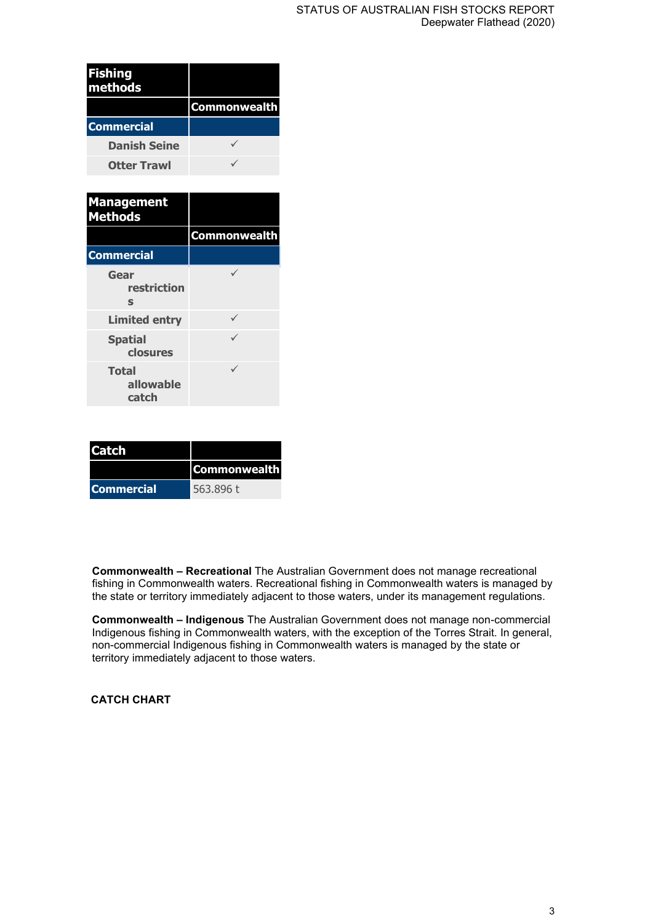| Fishing<br>methods  |                     |
|---------------------|---------------------|
|                     | <b>Commonwealth</b> |
| <b>Commercial</b>   |                     |
| <b>Danish Seine</b> |                     |
| <b>Otter Trawl</b>  |                     |

| <b>Management</b><br><b>Methods</b> |                     |
|-------------------------------------|---------------------|
|                                     | <b>Commonwealth</b> |
| <b>Commercial</b>                   |                     |
| Gear<br>restriction<br>S            |                     |
| <b>Limited entry</b>                |                     |
| <b>Spatial</b><br>closures          |                     |
| <b>Total</b><br>allowable<br>catch  |                     |

| <b>Catch</b>      |                     |
|-------------------|---------------------|
|                   | <b>Commonwealth</b> |
| <b>Commercial</b> | 563.896 t           |

**Commonwealth – Recreational** The Australian Government does not manage recreational fishing in Commonwealth waters. Recreational fishing in Commonwealth waters is managed by the state or territory immediately adjacent to those waters, under its management regulations.

**Commonwealth – Indigenous** The Australian Government does not manage non-commercial Indigenous fishing in Commonwealth waters, with the exception of the Torres Strait. In general, non-commercial Indigenous fishing in Commonwealth waters is managed by the state or territory immediately adjacent to those waters.

**CATCH CHART**